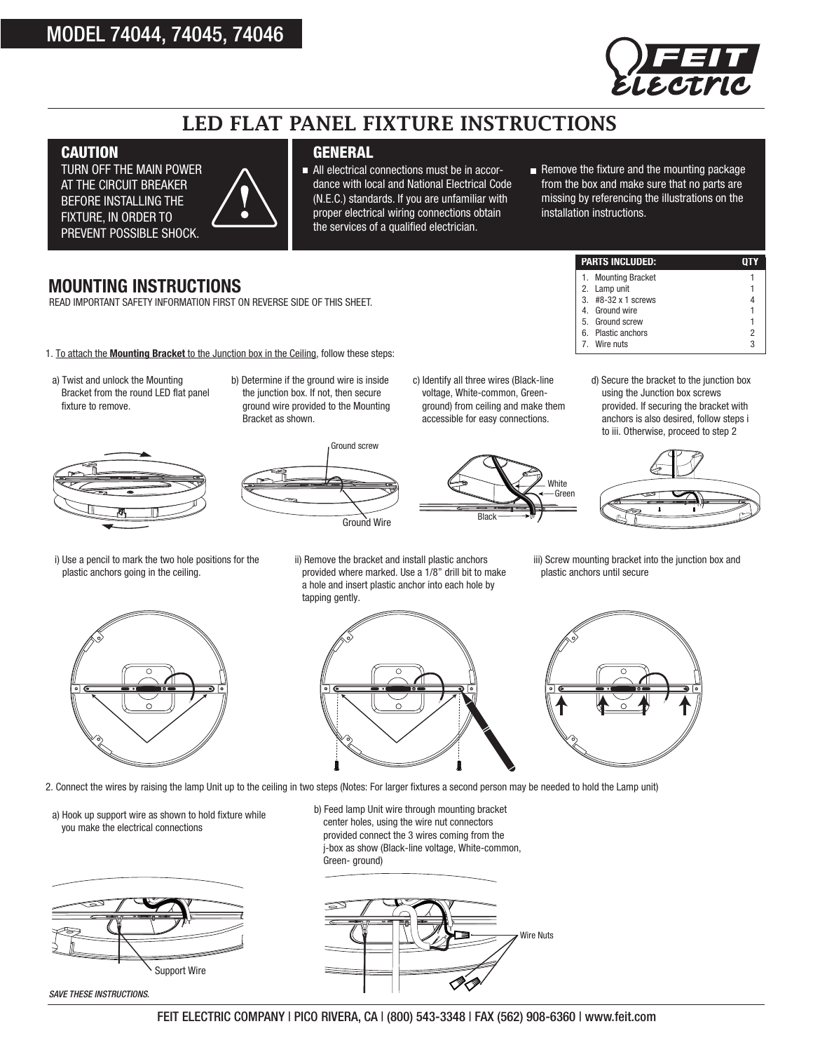## MODEL 74044, 74045, 74046



# LED FLAT PANEL FIXTURE INSTRUCTIONS

#### **CAUTION**

TURN OFF THE MAIN POWER AT THE CIRCUIT BREAKER BEFORE INSTALLING THE FIXTURE, IN ORDER TO PREVENT POSSIBLE SHOCK.



#### **GENERAL**

All electrical connections must be in accordance with local and National Electrical Code (N.E.C.) standards. If you are unfamiliar with proper electrical wiring connections obtain the services of a qualified electrician.

Remove the fixture and the mounting Remove the fixture and the mounting package from the box and make sure that no parts are missing by referencing the illustrations on the installation instructions.

1. Mounting Bracket

Wire nuts

#### **MOUNTING INSTRUCTIONS**

READ IMPORTANT SAFETY INFORMATION FIRST ON REVERSE SIDE OF THIS SHEET.

- 1. To attach the **Mounting Bracket** to the Junction box in the Ceiling, follow these steps:
- a) Twist and unlock the Mounting Bracket from the round LED flat panel fixture to remove.



b) Determine if the ground wire is inside the junction box. If not, then secure ground wire provided to the Mounting Bracket as shown.



c) Identify all three wires (Black-line voltage, White-common, Greenground) from ceiling and make them accessible for easy connections.



d) Secure the bracket to the junction box using the Junction box screws provided. If securing the bracket with anchors is also desired, follow steps i to iii. Otherwise, proceed to step 2

**PARTS INCLUDED: QTY**

2. Lamp unit 1 3. #8-32 x 1 screws 4 4. Ground wire 1 5. Ground screw 1 6. Plastic anchors 2<br>
7. Wire nuts 3



i) Use a pencil to mark the two hole positions for the plastic anchors going in the ceiling.



ii) Remove the bracket and install plastic anchors provided where marked. Use a 1/8" drill bit to make a hole and insert plastic anchor into each hole by tapping gently.

iii) Screw mounting bracket into the junction box and plastic anchors until secure



2. Connect the wires by raising the lamp Unit up to the ceiling in two steps (Notes: For larger fixtures a second person may be needed to hold the Lamp unit)

a) Hook up support wire as shown to hold fixture while you make the electrical connections



*SAVE THESE INSTRUCTIONS.*

b) Feed lamp Unit wire through mounting bracket center holes, using the wire nut connectors provided connect the 3 wires coming from the j-box as show (Black-line voltage, White-common, Green- ground)